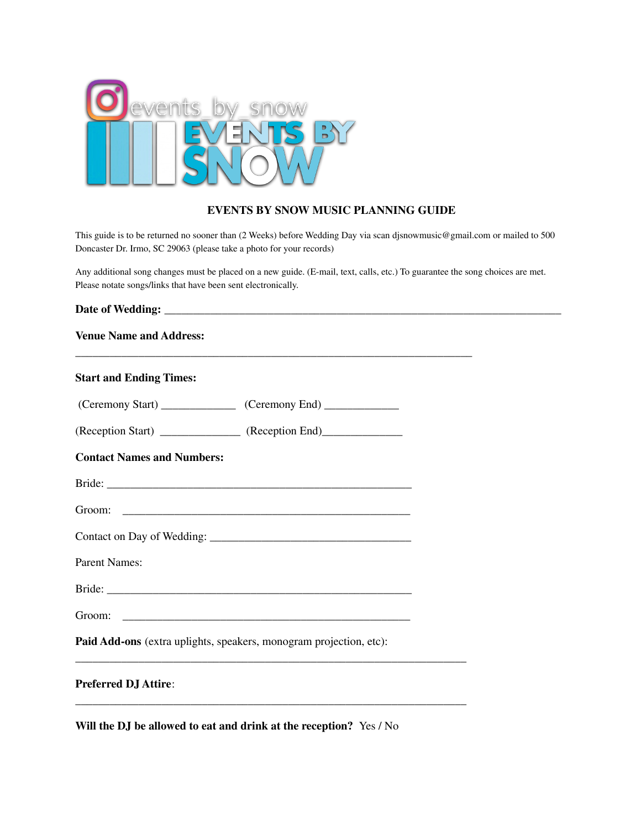

## **EVENTS BY SNOW MUSIC PLANNING GUIDE**

This guide is to be returned no sooner than (2 Weeks) before Wedding Day via scan djsnowmusic@gmail.com or mailed to 500 Doncaster Dr. Irmo, SC 29063 (please take a photo for your records)

Any additional song changes must be placed on a new guide. (E-mail, text, calls, etc.) To guarantee the song choices are met. Please notate songs/links that have been sent electronically.

| <b>Venue Name and Address:</b>                                     |  |  |  |  |
|--------------------------------------------------------------------|--|--|--|--|
| <b>Start and Ending Times:</b>                                     |  |  |  |  |
|                                                                    |  |  |  |  |
| (Reception Start) _______________ (Reception End)______________    |  |  |  |  |
| <b>Contact Names and Numbers:</b>                                  |  |  |  |  |
|                                                                    |  |  |  |  |
|                                                                    |  |  |  |  |
|                                                                    |  |  |  |  |
| <b>Parent Names:</b>                                               |  |  |  |  |
|                                                                    |  |  |  |  |
|                                                                    |  |  |  |  |
| Paid Add-ons (extra uplights, speakers, monogram projection, etc): |  |  |  |  |
| <b>Preferred DJ Attire:</b>                                        |  |  |  |  |

**Will the DJ be allowed to eat and drink at the reception?** Yes / No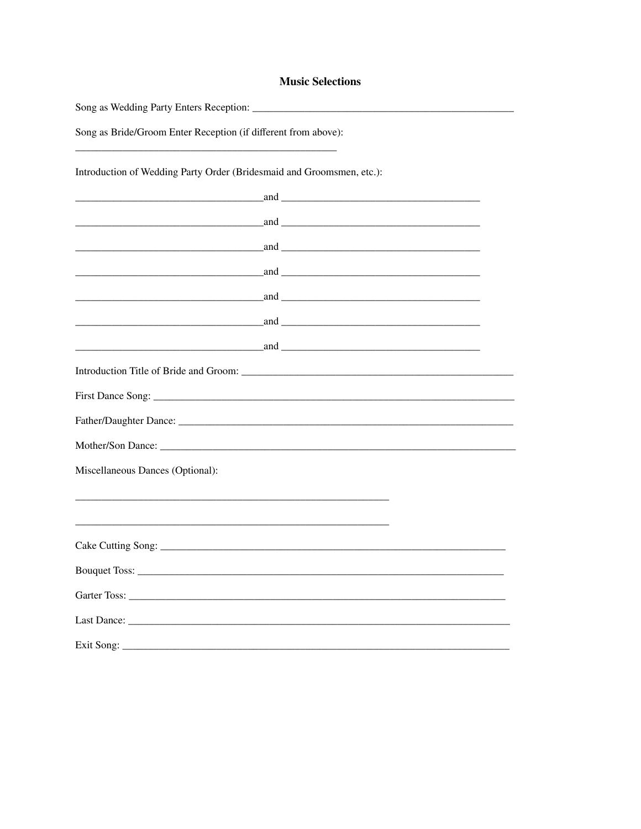## **Music Selections**

Song as Bride/Groom Enter Reception (if different from above): 

Introduction of Wedding Party Order (Bridesmaid and Groomsmen, etc.):

| <u> 1980 - Johann Barn, amerikan besteman besteman besteman besteman besteman besteman besteman besteman besteman</u> |                                                                                                                                                                                                                                                                                                                                                                                                                  |
|-----------------------------------------------------------------------------------------------------------------------|------------------------------------------------------------------------------------------------------------------------------------------------------------------------------------------------------------------------------------------------------------------------------------------------------------------------------------------------------------------------------------------------------------------|
|                                                                                                                       |                                                                                                                                                                                                                                                                                                                                                                                                                  |
|                                                                                                                       |                                                                                                                                                                                                                                                                                                                                                                                                                  |
|                                                                                                                       |                                                                                                                                                                                                                                                                                                                                                                                                                  |
|                                                                                                                       | and <u>the contract of the contract of the contract of the contract of the contract of the contract of the contract of the contract of the contract of the contract of the contract of the contract of the contract of the contr</u>                                                                                                                                                                             |
|                                                                                                                       | $and$ and $\overline{\phantom{a}}$ and $\overline{\phantom{a}}$ and $\overline{\phantom{a}}$ and $\overline{\phantom{a}}$ and $\overline{\phantom{a}}$ and $\overline{\phantom{a}}$ and $\overline{\phantom{a}}$ and $\overline{\phantom{a}}$ and $\overline{\phantom{a}}$ and $\overline{\phantom{a}}$ and $\overline{\phantom{a}}$ and $\overline{\phantom{a}}$ and $\overline{\phantom{a}}$ and $\overline{\$ |
|                                                                                                                       |                                                                                                                                                                                                                                                                                                                                                                                                                  |
|                                                                                                                       |                                                                                                                                                                                                                                                                                                                                                                                                                  |
|                                                                                                                       |                                                                                                                                                                                                                                                                                                                                                                                                                  |
|                                                                                                                       | Mother/Son Dance:                                                                                                                                                                                                                                                                                                                                                                                                |
| Miscellaneous Dances (Optional):                                                                                      |                                                                                                                                                                                                                                                                                                                                                                                                                  |
|                                                                                                                       |                                                                                                                                                                                                                                                                                                                                                                                                                  |
|                                                                                                                       |                                                                                                                                                                                                                                                                                                                                                                                                                  |
|                                                                                                                       |                                                                                                                                                                                                                                                                                                                                                                                                                  |
|                                                                                                                       |                                                                                                                                                                                                                                                                                                                                                                                                                  |
|                                                                                                                       |                                                                                                                                                                                                                                                                                                                                                                                                                  |
|                                                                                                                       |                                                                                                                                                                                                                                                                                                                                                                                                                  |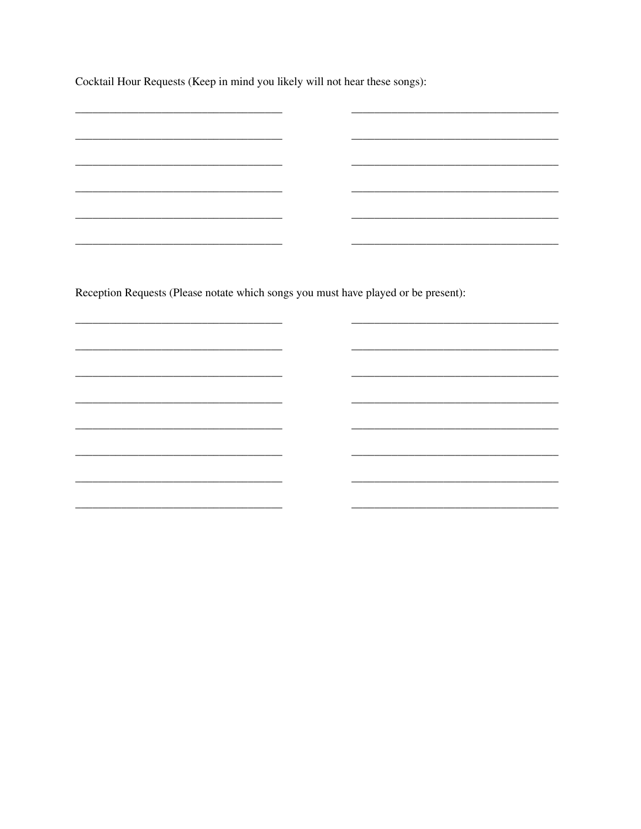Cocktail Hour Requests (Keep in mind you likely will not hear these songs):

<u> 1980 - Jan Store, amerikansk politiker (</u>

<u> La componenta del componente del componente del componente del componente del componente del componente del c</u>

<u> 1986 - Andrea Andrew Maria (h. 1986).</u>

<u> 2000 - Jan James James Jan James James James James James James James James James James James James James Jam</u>

Reception Requests (Please notate which songs you must have played or be present):

 $\overline{\phantom{0}}$ 

 $\overline{\phantom{0}}$ 

 $\overline{\phantom{a}}$ 

L.

 $\overline{\phantom{a}}$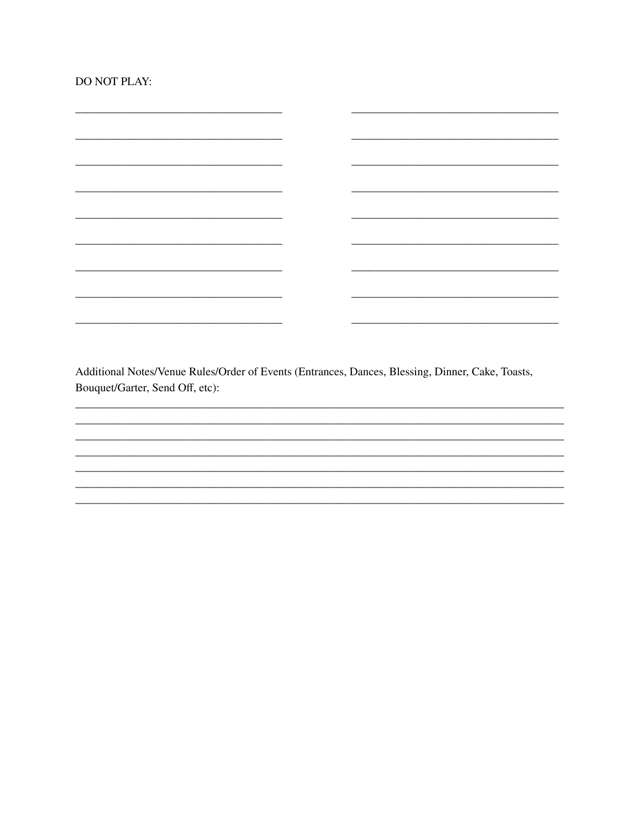|  |  | DO NOT PLAY: |
|--|--|--------------|
|--|--|--------------|

 $\overline{\phantom{0}}$ 

Additional Notes/Venue Rules/Order of Events (Entrances, Dances, Blessing, Dinner, Cake, Toasts, Bouquet/Garter, Send Off, etc):